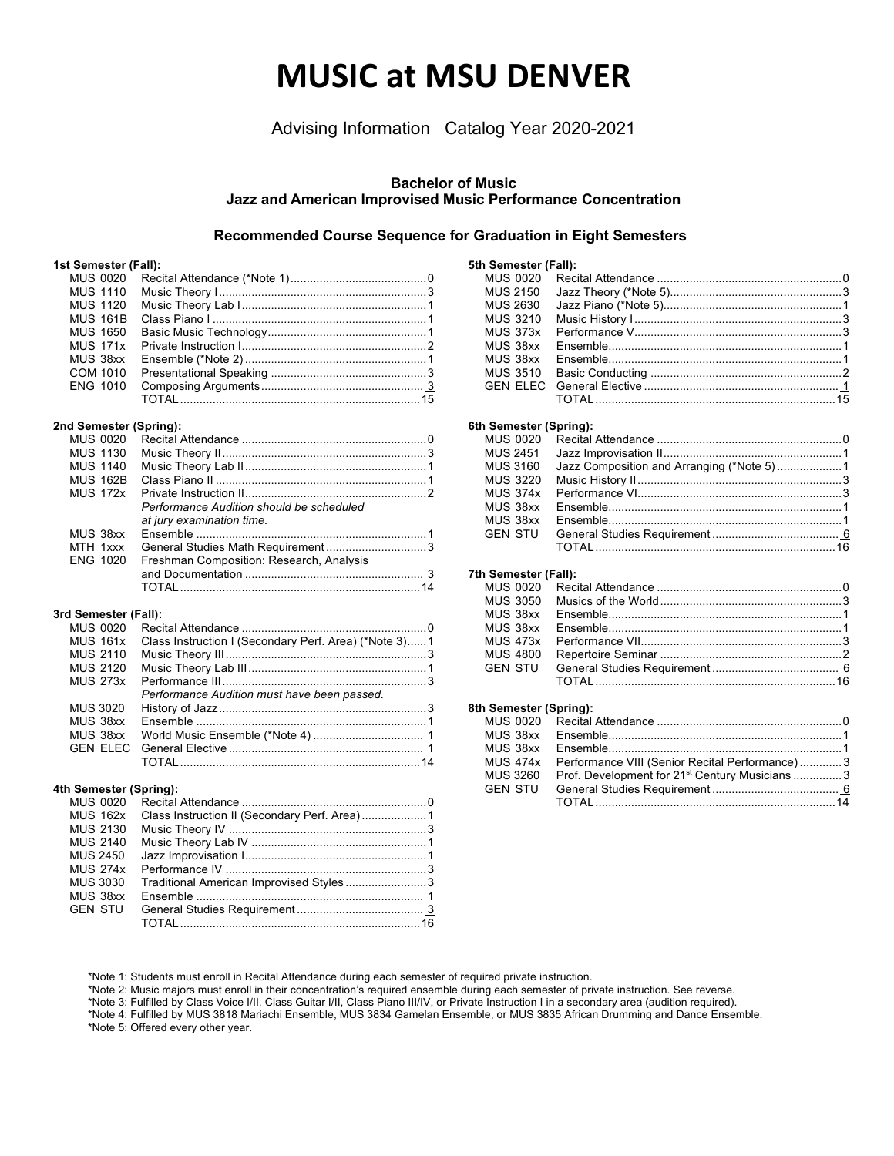## **MUSIC at MSU DENVER**

Advising Information Catalog Year 2020-2021

## **Bachelor of Music Jazz and American Improvised Music Performance Concentration**

## **Recommended Course Sequence for Graduation in Eight Semesters**

#### **1st Semester (Fall):**

| <b>MUS 1110</b> |  |
|-----------------|--|
| <b>MUS 1120</b> |  |
| <b>MUS 161B</b> |  |
| <b>MUS 1650</b> |  |
| <b>MUS 171x</b> |  |
| MUS 38xx        |  |
| COM 1010        |  |
| <b>ENG 1010</b> |  |
|                 |  |
|                 |  |

## **2nd Semester (Spring):**

| <b>MUS 0020</b> |                                          |  |
|-----------------|------------------------------------------|--|
| <b>MUS 1130</b> |                                          |  |
| <b>MUS 1140</b> |                                          |  |
| <b>MUS 162B</b> |                                          |  |
| <b>MUS 172x</b> |                                          |  |
|                 | Performance Audition should be scheduled |  |
|                 | at jury examination time.                |  |
| MUS 38xx        |                                          |  |
| MTH 1xxx        |                                          |  |
| ENG 1020        | Freshman Composition: Research, Analysis |  |
|                 |                                          |  |
|                 |                                          |  |
|                 |                                          |  |

## **3rd Semester (Fall):**

| <b>MUS 0020</b> |                                                       |  |
|-----------------|-------------------------------------------------------|--|
| <b>MUS 161x</b> | Class Instruction I (Secondary Perf. Area) (*Note 3)1 |  |
| <b>MUS 2110</b> |                                                       |  |
| <b>MUS 2120</b> |                                                       |  |
| <b>MUS 273x</b> |                                                       |  |
|                 | Performance Audition must have been passed.           |  |
| <b>MUS 3020</b> |                                                       |  |
|                 |                                                       |  |
| MUS 38xx        |                                                       |  |
|                 |                                                       |  |
|                 |                                                       |  |
|                 |                                                       |  |

#### **4th Semester (Spring):**

| MUS 0020        |                                         |  |
|-----------------|-----------------------------------------|--|
| <b>MUS 162x</b> |                                         |  |
| <b>MUS 2130</b> |                                         |  |
| <b>MUS 2140</b> |                                         |  |
| MUS 2450        |                                         |  |
| <b>MUS 274x</b> |                                         |  |
| <b>MUS 3030</b> | Traditional American Improvised Styles3 |  |
| MUS 38xx        |                                         |  |
| <b>GEN STU</b>  |                                         |  |
|                 |                                         |  |

| 5th Semester (Fall): |  |
|----------------------|--|
|                      |  |
| <b>MUS 2150</b>      |  |
| <b>MUS 2630</b>      |  |
| <b>MUS 3210</b>      |  |
| <b>MUS 373x</b>      |  |
| MUS 38xx             |  |
| MUS 38xx             |  |
| MUS 3510             |  |
|                      |  |
|                      |  |
|                      |  |

#### **6th Semester (Spring):**

#### **7th Semester (Fall):**

| MUS 4800 |  |
|----------|--|
|          |  |
|          |  |
|          |  |

#### **8th Semester (Spring):**

| MUS 474x Performance VIII (Senior Recital Performance)3              |  |
|----------------------------------------------------------------------|--|
| MUS 3260 Prof. Development for 21 <sup>st</sup> Century Musicians  3 |  |
|                                                                      |  |
|                                                                      |  |
|                                                                      |  |

\*Note 1: Students must enroll in Recital Attendance during each semester of required private instruction.

\*Note 2: Music majors must enroll in their concentration's required ensemble during each semester of private instruction. See reverse.

\*Note 3: Fulfilled by Class Voice I/II, Class Guitar I/II, Class Piano III/IV, or Private Instruction I in a secondary area (audition required).

\*Note 4: Fulfilled by MUS 3818 Mariachi Ensemble, MUS 3834 Gamelan Ensemble, or MUS 3835 African Drumming and Dance Ensemble. \*Note 5: Offered every other year.